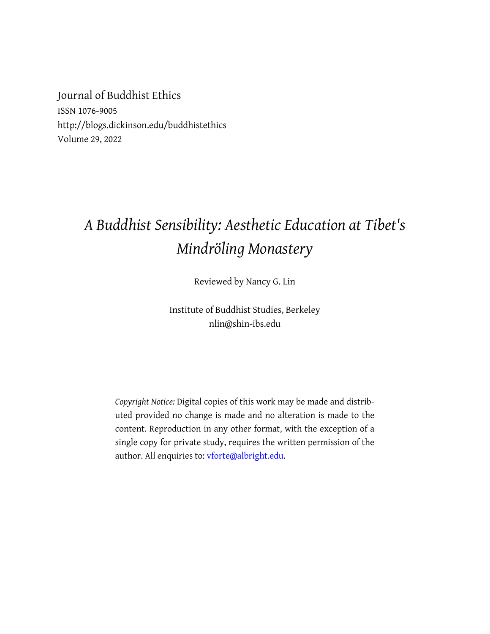Journal of Buddhist Ethics ISSN 1076-9005 http://blogs.dickinson.edu/buddhistethics Volume 29, 2022

## *A Buddhist Sensibility: Aesthetic Education at Tibet's Mindröling Monastery*

Reviewed by Nancy G. Lin

Institute of Buddhist Studies, Berkeley nlin@shin-ibs.edu

*Copyright Notice:* Digital copies of this work may be made and distributed provided no change is made and no alteration is made to the content. Reproduction in any other format, with the exception of a single copy for private study, requires the written permission of the author. All enquiries to: vforte@albright.edu.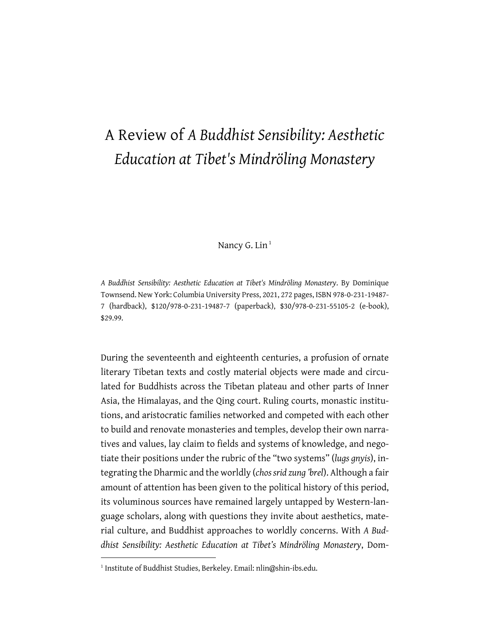## A Review of *A Buddhist Sensibility: Aesthetic Education at Tibet's Mindröling Monastery*

Nancy G. Lin $<sup>1</sup>$ </sup>

*A Buddhist Sensibility: Aesthetic Education at Tibet's Mindröling Monastery*. By Dominique Townsend. New York: Columbia University Press, 2021, 272 pages, ISBN 978-0-231-19487- 7 (hardback), \$120/978-0-231-19487-7 (paperback), \$30/978-0-231-55105-2 (e-book), \$29.99.

During the seventeenth and eighteenth centuries, a profusion of ornate literary Tibetan texts and costly material objects were made and circulated for Buddhists across the Tibetan plateau and other parts of Inner Asia, the Himalayas, and the Qing court. Ruling courts, monastic institutions, and aristocratic families networked and competed with each other to build and renovate monasteries and temples, develop their own narratives and values, lay claim to fields and systems of knowledge, and negotiate their positions under the rubric of the "two systems" (*lugs gnyis*), integrating the Dharmic and the worldly (*chos srid zung 'brel*). Although a fair amount of attention has been given to the political history of this period, its voluminous sources have remained largely untapped by Western-language scholars, along with questions they invite about aesthetics, material culture, and Buddhist approaches to worldly concerns. With *A Buddhist Sensibility: Aesthetic Education at Tibet's Mindröling Monastery*, Dom-

<sup>&</sup>lt;sup>1</sup> Institute of Buddhist Studies, Berkeley. Email: nlin@shin-ibs.edu.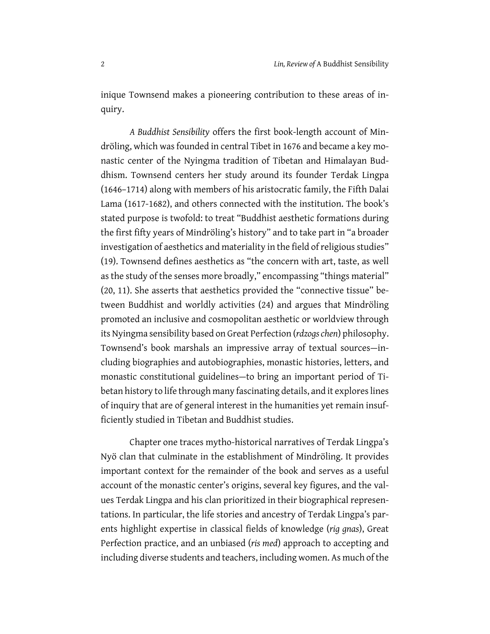inique Townsend makes a pioneering contribution to these areas of inquiry.

*A Buddhist Sensibility* offers the first book-length account of Mindröling, which was founded in central Tibet in 1676 and became a key monastic center of the Nyingma tradition of Tibetan and Himalayan Buddhism. Townsend centers her study around its founder Terdak Lingpa (1646–1714) along with members of his aristocratic family, the Fifth Dalai Lama (1617-1682), and others connected with the institution. The book's stated purpose is twofold: to treat "Buddhist aesthetic formations during the first fifty years of Mindröling's history" and to take part in "a broader investigation of aesthetics and materiality in the field of religious studies" (19). Townsend defines aesthetics as "the concern with art, taste, as well as the study of the senses more broadly," encompassing "things material" (20, 11). She asserts that aesthetics provided the "connective tissue" between Buddhist and worldly activities (24) and argues that Mindröling promoted an inclusive and cosmopolitan aesthetic or worldview through its Nyingma sensibility based on Great Perfection (*rdzogs chen*) philosophy. Townsend's book marshals an impressive array of textual sources—including biographies and autobiographies, monastic histories, letters, and monastic constitutional guidelines—to bring an important period of Tibetan history to life through many fascinating details, and it explores lines of inquiry that are of general interest in the humanities yet remain insufficiently studied in Tibetan and Buddhist studies.

Chapter one traces mytho-historical narratives of Terdak Lingpa's Nyö clan that culminate in the establishment of Mindröling. It provides important context for the remainder of the book and serves as a useful account of the monastic center's origins, several key figures, and the values Terdak Lingpa and his clan prioritized in their biographical representations. In particular, the life stories and ancestry of Terdak Lingpa's parents highlight expertise in classical fields of knowledge (*rig gnas*), Great Perfection practice, and an unbiased (*ris med*) approach to accepting and including diverse students and teachers, including women. As much of the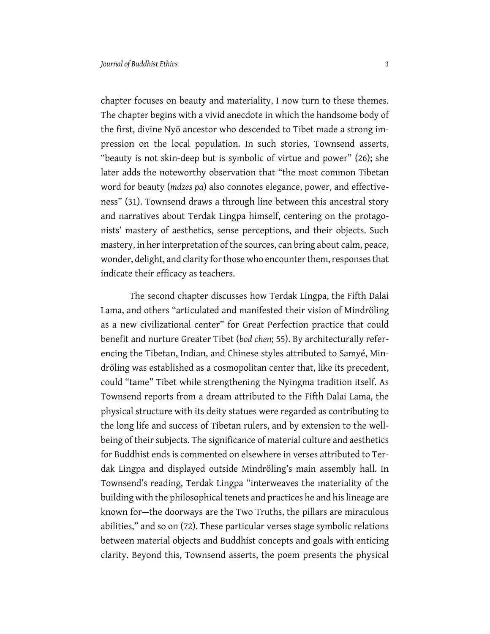chapter focuses on beauty and materiality, I now turn to these themes. The chapter begins with a vivid anecdote in which the handsome body of the first, divine Nyö ancestor who descended to Tibet made a strong impression on the local population. In such stories, Townsend asserts, "beauty is not skin-deep but is symbolic of virtue and power" (26); she later adds the noteworthy observation that "the most common Tibetan word for beauty (*mdzes pa*) also connotes elegance, power, and effectiveness" (31). Townsend draws a through line between this ancestral story and narratives about Terdak Lingpa himself, centering on the protagonists' mastery of aesthetics, sense perceptions, and their objects. Such mastery, in her interpretation of the sources, can bring about calm, peace, wonder, delight, and clarity for those who encounter them, responses that indicate their efficacy as teachers.

The second chapter discusses how Terdak Lingpa, the Fifth Dalai Lama, and others "articulated and manifested their vision of Mindröling as a new civilizational center" for Great Perfection practice that could benefit and nurture Greater Tibet (*bod chen*; 55). By architecturally referencing the Tibetan, Indian, and Chinese styles attributed to Samyé, Mindröling was established as a cosmopolitan center that, like its precedent, could "tame" Tibet while strengthening the Nyingma tradition itself. As Townsend reports from a dream attributed to the Fifth Dalai Lama, the physical structure with its deity statues were regarded as contributing to the long life and success of Tibetan rulers, and by extension to the wellbeing of their subjects. The significance of material culture and aesthetics for Buddhist ends is commented on elsewhere in verses attributed to Terdak Lingpa and displayed outside Mindröling's main assembly hall. In Townsend's reading, Terdak Lingpa "interweaves the materiality of the building with the philosophical tenets and practices he and his lineage are known for—the doorways are the Two Truths, the pillars are miraculous abilities," and so on (72). These particular verses stage symbolic relations between material objects and Buddhist concepts and goals with enticing clarity. Beyond this, Townsend asserts, the poem presents the physical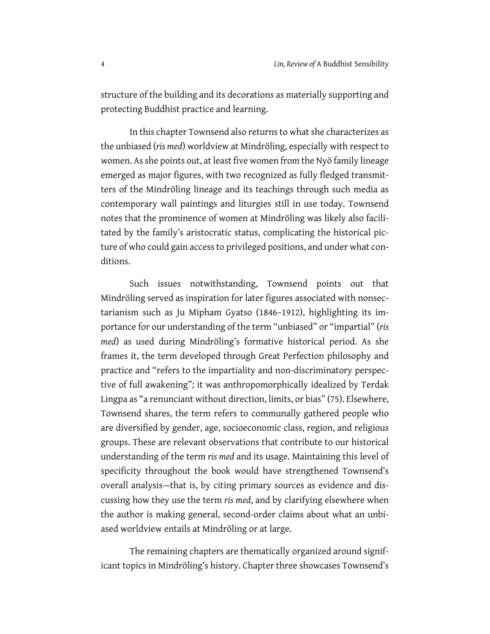structure of the building and its decorations as materially supporting and protecting Buddhist practice and learning.

In this chapter Townsend also returns to what she characterizes as the unbiased (*ris med*) worldview at Mindröling, especially with respect to women. As she points out, at least five women from the Nyö family lineage emerged as major figures, with two recognized as fully fledged transmitters of the Mindröling lineage and its teachings through such media as contemporary wall paintings and liturgies still in use today. Townsend notes that the prominence of women at Mindröling was likely also facilitated by the family's aristocratic status, complicating the historical picture of who could gain access to privileged positions, and under what conditions.

Such issues notwithstanding, Townsend points out that Mindröling served as inspiration for later figures associated with nonsectarianism such as Ju Mipham Gyatso (1846–1912), highlighting its importance for our understanding of the term "unbiased" or "impartial" (*ris med*) as used during Mindröling's formative historical period. As she frames it, the term developed through Great Perfection philosophy and practice and "refers to the impartiality and non-discriminatory perspective of full awakening"; it was anthropomorphically idealized by Terdak Lingpa as "a renunciant without direction, limits, or bias" (75). Elsewhere, Townsend shares, the term refers to communally gathered people who are diversified by gender, age, socioeconomic class, region, and religious groups. These are relevant observations that contribute to our historical understanding of the term *ris med* and its usage. Maintaining this level of specificity throughout the book would have strengthened Townsend's overall analysis—that is, by citing primary sources as evidence and discussing how they use the term *ris med*, and by clarifying elsewhere when the author is making general, second-order claims about what an unbiased worldview entails at Mindröling or at large.

The remaining chapters are thematically organized around significant topics in Mindröling's history. Chapter three showcases Townsend's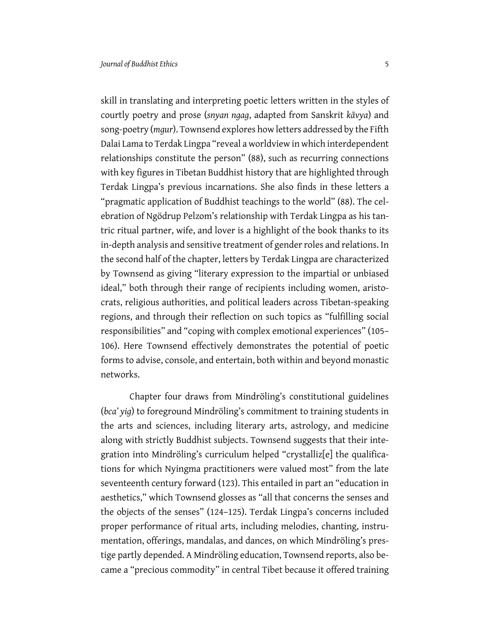skill in translating and interpreting poetic letters written in the styles of courtly poetry and prose (*snyan ngag*, adapted from Sanskrit *kāvya*) and song-poetry (*mgur*). Townsend explores how letters addressed by the Fifth Dalai Lama to Terdak Lingpa "reveal a worldview in which interdependent relationships constitute the person" (88), such as recurring connections with key figures in Tibetan Buddhist history that are highlighted through Terdak Lingpa's previous incarnations. She also finds in these letters a "pragmatic application of Buddhist teachings to the world" (88). The celebration of Ngödrup Pelzom's relationship with Terdak Lingpa as his tantric ritual partner, wife, and lover is a highlight of the book thanks to its in-depth analysis and sensitive treatment of gender roles and relations. In the second half of the chapter, letters by Terdak Lingpa are characterized by Townsend as giving "literary expression to the impartial or unbiased ideal," both through their range of recipients including women, aristocrats, religious authorities, and political leaders across Tibetan-speaking regions, and through their reflection on such topics as "fulfilling social responsibilities" and "coping with complex emotional experiences" (105– 106). Here Townsend effectively demonstrates the potential of poetic forms to advise, console, and entertain, both within and beyond monastic networks.

Chapter four draws from Mindröling's constitutional guidelines (*bca' yig*) to foreground Mindröling's commitment to training students in the arts and sciences, including literary arts, astrology, and medicine along with strictly Buddhist subjects. Townsend suggests that their integration into Mindröling's curriculum helped "crystalliz[e] the qualifications for which Nyingma practitioners were valued most" from the late seventeenth century forward (123). This entailed in part an "education in aesthetics," which Townsend glosses as "all that concerns the senses and the objects of the senses" (124–125). Terdak Lingpa's concerns included proper performance of ritual arts, including melodies, chanting, instrumentation, offerings, mandalas, and dances, on which Mindröling's prestige partly depended. A Mindröling education, Townsend reports, also became a "precious commodity" in central Tibet because it offered training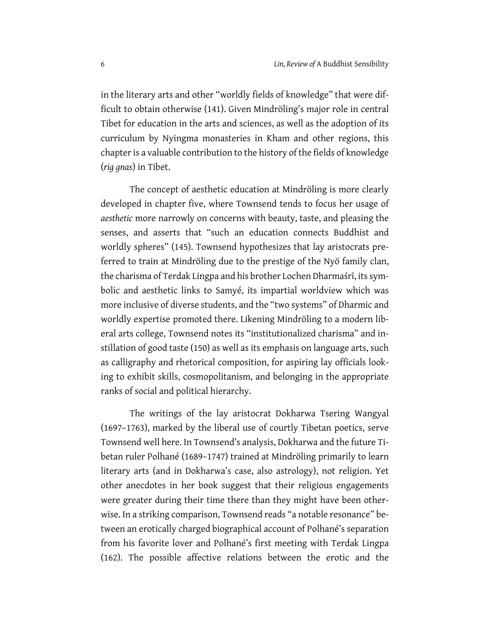in the literary arts and other "worldly fields of knowledge" that were difficult to obtain otherwise (141). Given Mindröling's major role in central Tibet for education in the arts and sciences, as well as the adoption of its curriculum by Nyingma monasteries in Kham and other regions, this chapter is a valuable contribution to the history of the fields of knowledge (*rig gnas*) in Tibet.

The concept of aesthetic education at Mindröling is more clearly developed in chapter five, where Townsend tends to focus her usage of *aesthetic* more narrowly on concerns with beauty, taste, and pleasing the senses, and asserts that "such an education connects Buddhist and worldly spheres" (145). Townsend hypothesizes that lay aristocrats preferred to train at Mindröling due to the prestige of the Nyö family clan, the charisma of Terdak Lingpa and his brother Lochen Dharmaśrī, its symbolic and aesthetic links to Samyé, its impartial worldview which was more inclusive of diverse students, and the "two systems" of Dharmic and worldly expertise promoted there. Likening Mindröling to a modern liberal arts college, Townsend notes its "institutionalized charisma" and instillation of good taste (150) as well as its emphasis on language arts, such as calligraphy and rhetorical composition, for aspiring lay officials looking to exhibit skills, cosmopolitanism, and belonging in the appropriate ranks of social and political hierarchy.

The writings of the lay aristocrat Dokharwa Tsering Wangyal (1697–1763), marked by the liberal use of courtly Tibetan poetics, serve Townsend well here. In Townsend's analysis, Dokharwa and the future Tibetan ruler Polhané (1689–1747) trained at Mindröling primarily to learn literary arts (and in Dokharwa's case, also astrology), not religion. Yet other anecdotes in her book suggest that their religious engagements were greater during their time there than they might have been otherwise. In a striking comparison, Townsend reads "a notable resonance" between an erotically charged biographical account of Polhané's separation from his favorite lover and Polhané's first meeting with Terdak Lingpa (162). The possible affective relations between the erotic and the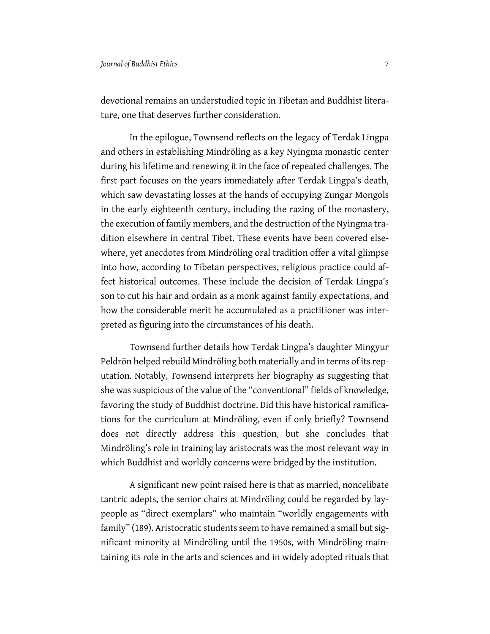devotional remains an understudied topic in Tibetan and Buddhist literature, one that deserves further consideration.

In the epilogue, Townsend reflects on the legacy of Terdak Lingpa and others in establishing Mindröling as a key Nyingma monastic center during his lifetime and renewing it in the face of repeated challenges. The first part focuses on the years immediately after Terdak Lingpa's death, which saw devastating losses at the hands of occupying Zungar Mongols in the early eighteenth century, including the razing of the monastery, the execution of family members, and the destruction of the Nyingma tradition elsewhere in central Tibet. These events have been covered elsewhere, yet anecdotes from Mindröling oral tradition offer a vital glimpse into how, according to Tibetan perspectives, religious practice could affect historical outcomes. These include the decision of Terdak Lingpa's son to cut his hair and ordain as a monk against family expectations, and how the considerable merit he accumulated as a practitioner was interpreted as figuring into the circumstances of his death.

Townsend further details how Terdak Lingpa's daughter Mingyur Peldrön helped rebuild Mindröling both materially and in terms of its reputation. Notably, Townsend interprets her biography as suggesting that she was suspicious of the value of the "conventional" fields of knowledge, favoring the study of Buddhist doctrine. Did this have historical ramifications for the curriculum at Mindröling, even if only briefly? Townsend does not directly address this question, but she concludes that Mindröling's role in training lay aristocrats was the most relevant way in which Buddhist and worldly concerns were bridged by the institution.

A significant new point raised here is that as married, noncelibate tantric adepts, the senior chairs at Mindröling could be regarded by laypeople as "direct exemplars" who maintain "worldly engagements with family" (189). Aristocratic students seem to have remained a small but significant minority at Mindröling until the 1950s, with Mindröling maintaining its role in the arts and sciences and in widely adopted rituals that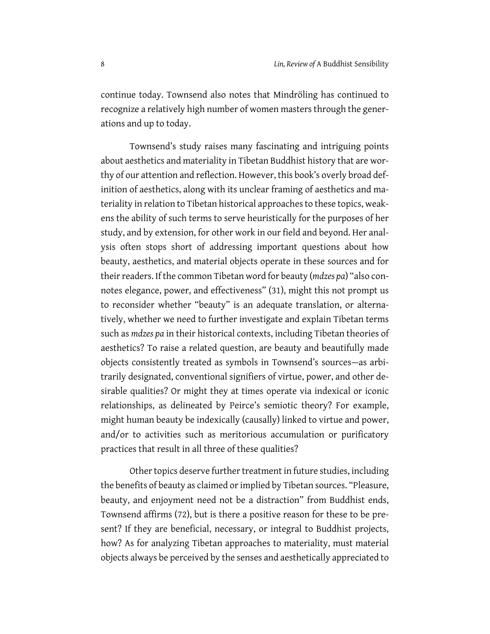continue today. Townsend also notes that Mindröling has continued to recognize a relatively high number of women masters through the generations and up to today.

Townsend's study raises many fascinating and intriguing points about aesthetics and materiality in Tibetan Buddhist history that are worthy of our attention and reflection. However, this book's overly broad definition of aesthetics, along with its unclear framing of aesthetics and materiality in relation to Tibetan historical approaches to these topics, weakens the ability of such terms to serve heuristically for the purposes of her study, and by extension, for other work in our field and beyond. Her analysis often stops short of addressing important questions about how beauty, aesthetics, and material objects operate in these sources and for their readers. If the common Tibetan word for beauty (*mdzes pa*) "also connotes elegance, power, and effectiveness" (31), might this not prompt us to reconsider whether "beauty" is an adequate translation, or alternatively, whether we need to further investigate and explain Tibetan terms such as *mdzes pa* in their historical contexts, including Tibetan theories of aesthetics? To raise a related question, are beauty and beautifully made objects consistently treated as symbols in Townsend's sources—as arbitrarily designated, conventional signifiers of virtue, power, and other desirable qualities? Or might they at times operate via indexical or iconic relationships, as delineated by Peirce's semiotic theory? For example, might human beauty be indexically (causally) linked to virtue and power, and/or to activities such as meritorious accumulation or purificatory practices that result in all three of these qualities?

Other topics deserve further treatment in future studies, including the benefits of beauty as claimed or implied by Tibetan sources. "Pleasure, beauty, and enjoyment need not be a distraction" from Buddhist ends, Townsend affirms (72), but is there a positive reason for these to be present? If they are beneficial, necessary, or integral to Buddhist projects, how? As for analyzing Tibetan approaches to materiality, must material objects always be perceived by the senses and aesthetically appreciated to